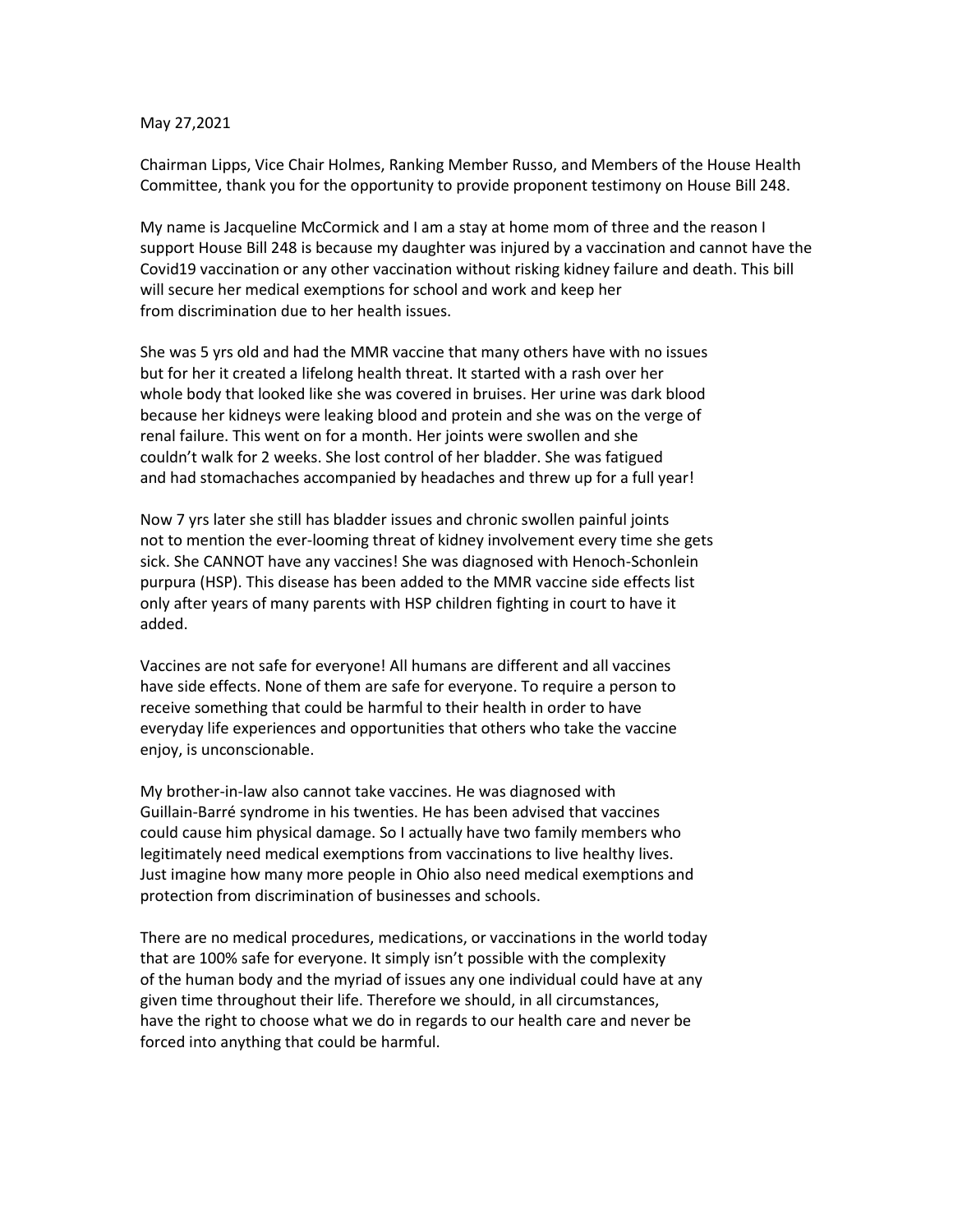## May 27,2021

Chairman Lipps, Vice Chair Holmes, Ranking Member Russo, and Members of the House Health Committee, thank you for the opportunity to provide proponent testimony on House Bill 248.

My name is Jacqueline McCormick and I am a stay at home mom of three and the reason I support House Bill 248 is because my daughter was injured by a vaccination and cannot have the Covid19 vaccination or any other vaccination without risking kidney failure and death. This bill will secure her medical exemptions for school and work and keep her from discrimination due to her health issues.

She was 5 yrs old and had the MMR vaccine that many others have with no issues but for her it created a lifelong health threat. It started with a rash over her whole body that looked like she was covered in bruises. Her urine was dark blood because her kidneys were leaking blood and protein and she was on the verge of renal failure. This went on for a month. Her joints were swollen and she couldn't walk for 2 weeks. She lost control of her bladder. She was fatigued and had stomachaches accompanied by headaches and threw up for a full year!

Now 7 yrs later she still has bladder issues and chronic swollen painful joints not to mention the ever-looming threat of kidney involvement every time she gets sick. She CANNOT have any vaccines! She was diagnosed with Henoch-Schonlein purpura (HSP). This disease has been added to the MMR vaccine side effects list only after years of many parents with HSP children fighting in court to have it added.

Vaccines are not safe for everyone! All humans are different and all vaccines have side effects. None of them are safe for everyone. To require a person to receive something that could be harmful to their health in order to have everyday life experiences and opportunities that others who take the vaccine enjoy, is unconscionable.

My brother-in-law also cannot take vaccines. He was diagnosed with Guillain-Barré syndrome in his twenties. He has been advised that vaccines could cause him physical damage. So I actually have two family members who legitimately need medical exemptions from vaccinations to live healthy lives. Just imagine how many more people in Ohio also need medical exemptions and protection from discrimination of businesses and schools.

There are no medical procedures, medications, or vaccinations in the world today that are 100% safe for everyone. It simply isn't possible with the complexity of the human body and the myriad of issues any one individual could have at any given time throughout their life. Therefore we should, in all circumstances, have the right to choose what we do in regards to our health care and never be forced into anything that could be harmful.